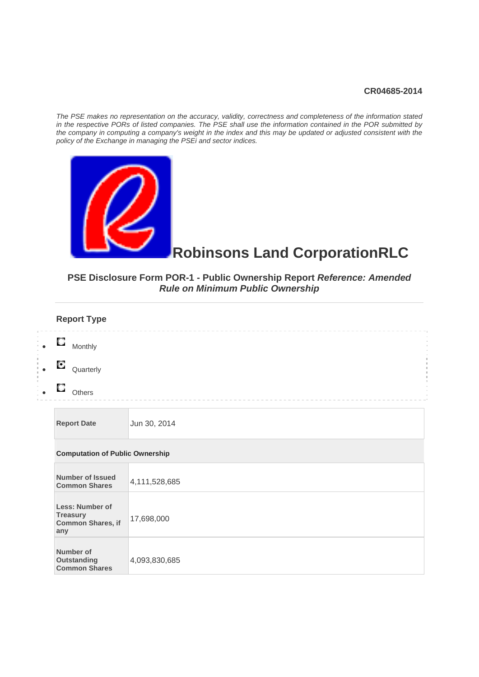#### **CR04685-2014**

*The PSE makes no representation on the accuracy, validity, correctness and completeness of the information stated in the respective PORs of listed companies. The PSE shall use the information contained in the POR submitted by the company in computing a company's weight in the index and this may be updated or adjusted consistent with the policy of the Exchange in managing the PSEi and sector indices.* 



# **Robinsons Land CorporationRLC**

# **PSE Disclosure Form POR-1 - Public Ownership Report** *Reference: Amended Rule on Minimum Public Ownership*

| <b>Report Type</b>                                                    |               |
|-----------------------------------------------------------------------|---------------|
| О<br>Monthly                                                          |               |
| О<br>Quarterly                                                        |               |
| О<br>Others                                                           |               |
| <b>Report Date</b>                                                    | Jun 30, 2014  |
| <b>Computation of Public Ownership</b>                                |               |
| <b>Number of Issued</b><br><b>Common Shares</b>                       | 4,111,528,685 |
| <b>Less: Number of</b><br><b>Treasury</b><br>Common Shares, if<br>any | 17,698,000    |
| Number of<br><b>Outstanding</b><br><b>Common Shares</b>               | 4,093,830,685 |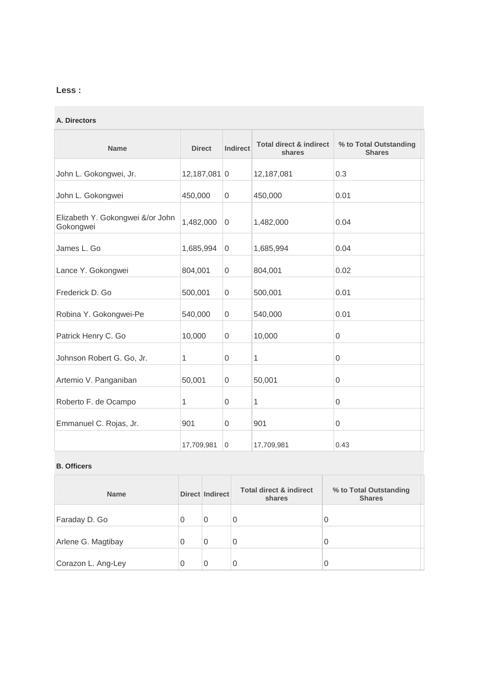# **Less :**

#### **A. Directors**

| <b>Name</b>                                   | <b>Direct</b>  | <b>Indirect</b> | <b>Total direct &amp; indirect</b><br>shares | % to Total Outstanding<br><b>Shares</b> |
|-----------------------------------------------|----------------|-----------------|----------------------------------------------|-----------------------------------------|
| John L. Gokongwei, Jr.                        | $12,187,081$ 0 |                 | 12,187,081                                   | 0.3                                     |
| John L. Gokongwei                             | 450,000        | $\overline{0}$  | 450,000                                      | 0.01                                    |
| Elizabeth Y. Gokongwei &/or John<br>Gokongwei | 1,482,000      | $\Omega$        | 1,482,000                                    | 0.04                                    |
| James L. Go                                   | 1,685,994      | 0               | 1,685,994                                    | 0.04                                    |
| Lance Y. Gokongwei                            | 804,001        | $\overline{0}$  | 804,001                                      | 0.02                                    |
| Frederick D. Go                               | 500,001        | 0               | 500,001                                      | 0.01                                    |
| Robina Y. Gokongwei-Pe                        | 540,000        | $\mathbf 0$     | 540,000                                      | 0.01                                    |
| Patrick Henry C. Go                           | 10,000         | $\mathbf 0$     | 10,000                                       | 0                                       |
| Johnson Robert G. Go, Jr.                     | 1              | $\mathbf 0$     | 1                                            | 0                                       |
| Artemio V. Panganiban                         | 50,001         | $\overline{0}$  | 50,001                                       | $\mathbf{0}$                            |
| Roberto F. de Ocampo                          | 1              | $\Omega$        | 1                                            | $\mathbf{0}$                            |
| Emmanuel C. Rojas, Jr.                        | 901            | $\overline{0}$  | 901                                          | $\mathbf{0}$                            |
|                                               | 17,709,981     | $\overline{0}$  | 17,709,981                                   | 0.43                                    |

#### **B. Officers**

| <b>Name</b>        |   | <b>Direct Indirect</b> | <b>Total direct &amp; indirect</b><br>shares | % to Total Outstanding<br><b>Shares</b> |
|--------------------|---|------------------------|----------------------------------------------|-----------------------------------------|
| Faraday D. Go      | 0 | $\overline{0}$         | 0                                            | 0                                       |
| Arlene G. Magtibay | 0 | 0                      | 0                                            | 0                                       |
| Corazon L. Ang-Ley |   | 0                      | 0                                            | 0                                       |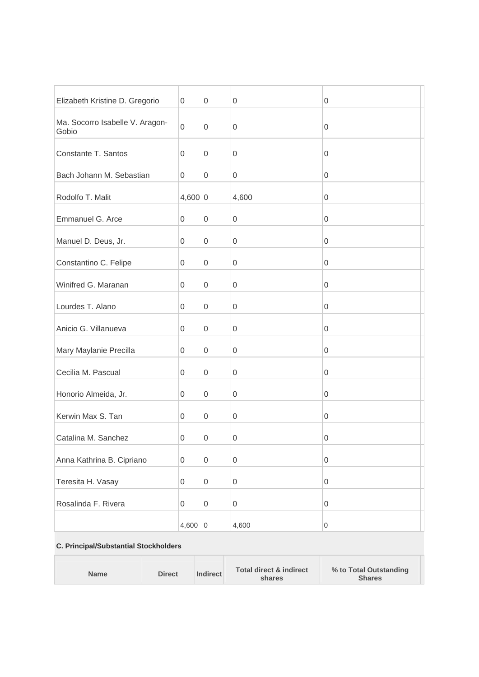| Elizabeth Kristine D. Gregorio           | 0            | $\boldsymbol{0}$    | $\mathbf 0$      | 0                   |
|------------------------------------------|--------------|---------------------|------------------|---------------------|
| Ma. Socorro Isabelle V. Aragon-<br>Gobio | $\mathbf 0$  | $\mathbf 0$         | $\mathbf 0$      | $\mathsf{O}\xspace$ |
| Constante T. Santos                      | 0            | 0                   | $\boldsymbol{0}$ | $\mathsf{O}\xspace$ |
| Bach Johann M. Sebastian                 | 0            | $\mathsf 0$         | $\boldsymbol{0}$ | $\mathsf{O}\xspace$ |
| Rodolfo T. Malit                         | 4,600 0      |                     | 4,600            | 0                   |
| Emmanuel G. Arce                         | 0            | $\boldsymbol{0}$    | $\boldsymbol{0}$ | 0                   |
| Manuel D. Deus, Jr.                      | 0            | $\boldsymbol{0}$    | $\boldsymbol{0}$ | 0                   |
| Constantino C. Felipe                    | 0            | $\mathsf{O}\xspace$ | $\boldsymbol{0}$ | 0                   |
| Winifred G. Maranan                      | 0            | 0                   | $\boldsymbol{0}$ | $\mathsf{O}\xspace$ |
| Lourdes T. Alano                         | 0            | 0                   | $\boldsymbol{0}$ | $\mathsf{O}\xspace$ |
| Anicio G. Villanueva                     | 0            | $\mathsf 0$         | $\boldsymbol{0}$ | $\mathsf{O}\xspace$ |
| Mary Maylanie Precilla                   | 0            | 0                   | 0                | 0                   |
| Cecilia M. Pascual                       | 0            | 0                   | $\boldsymbol{0}$ | $\mathsf{O}\xspace$ |
| Honorio Almeida, Jr.                     | 0            | $\boldsymbol{0}$    | $\boldsymbol{0}$ | $\boldsymbol{0}$    |
| Kerwin Max S. Tan                        | 0            | $\mathsf 0$         | $\boldsymbol{0}$ | 0                   |
| Catalina M. Sanchez                      | $\mathbf{0}$ | 0                   | $\boldsymbol{0}$ | 0                   |
| Anna Kathrina B. Cipriano                | 0            | $\mathsf{O}\xspace$ | $\mathbf 0$      | $\mathsf{O}\xspace$ |
| Teresita H. Vasay                        | 0            | $\mathsf{O}\xspace$ | $\boldsymbol{0}$ | 0                   |
| Rosalinda F. Rivera                      | 0            | $\mathsf 0$         | $\mathbf 0$      | 0                   |
|                                          | 4,600        | $\overline{0}$      | 4,600            | $\boldsymbol{0}$    |
|                                          |              |                     |                  |                     |

## **C. Principal/Substantial Stockholders**

H

| <b>Indirect</b><br><b>Direct</b><br>Name<br><b>Shares</b><br>shares |
|---------------------------------------------------------------------|
|---------------------------------------------------------------------|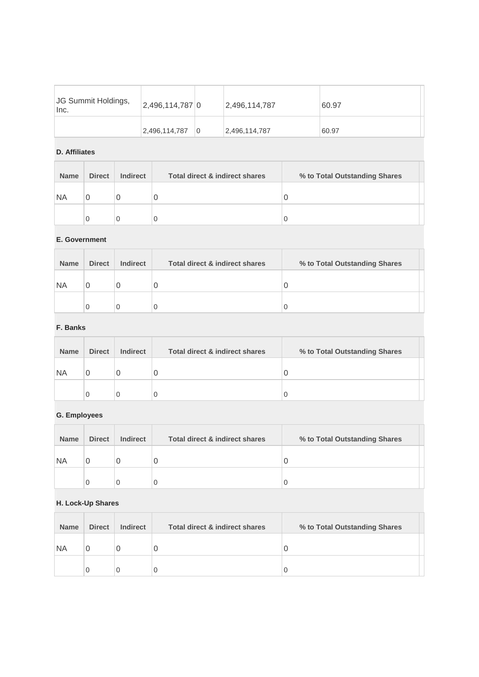| JG Summit Holdings,<br>Inc. | 2,496,114,787 0 | 2,496,114,787 | 60.97 |
|-----------------------------|-----------------|---------------|-------|
|                             | 2,496,114,787   | 2,496,114,787 | 60.97 |

#### **D. Affiliates**

| <b>Name</b> | <b>Direct</b> | <b>Indirect</b> | <b>Total direct &amp; indirect shares</b> | % to Total Outstanding Shares |  |
|-------------|---------------|-----------------|-------------------------------------------|-------------------------------|--|
| <b>NA</b>   | U             |                 |                                           |                               |  |
|             | 0             |                 |                                           |                               |  |

#### **E. Government**

| <b>Name</b> | <b>Direct</b> | <b>Indirect</b> | <b>Total direct &amp; indirect shares</b> | % to Total Outstanding Shares |  |
|-------------|---------------|-----------------|-------------------------------------------|-------------------------------|--|
| <b>NA</b>   |               |                 |                                           |                               |  |
|             | 0             | O               |                                           | U                             |  |

#### **F. Banks**

| <b>Name</b> | <b>Direct</b> | <b>Indirect</b> | Total direct & indirect shares | % to Total Outstanding Shares |
|-------------|---------------|-----------------|--------------------------------|-------------------------------|
| <b>NA</b>   |               |                 | U                              |                               |
|             | 0             | $\cup$          | 0                              |                               |

# **G. Employees**

| <b>Name</b> | <b>Direct</b> | <b>Indirect</b> | Total direct & indirect shares | % to Total Outstanding Shares |
|-------------|---------------|-----------------|--------------------------------|-------------------------------|
| <b>NA</b>   |               | U               | 0                              |                               |
|             | C             |                 |                                |                               |

## **H. Lock-Up Shares**

| <b>Name</b> | <b>Direct</b> | <b>Indirect</b> | Total direct & indirect shares | % to Total Outstanding Shares |  |
|-------------|---------------|-----------------|--------------------------------|-------------------------------|--|
| <b>NA</b>   | U             |                 | U                              |                               |  |
|             | 0             |                 |                                |                               |  |